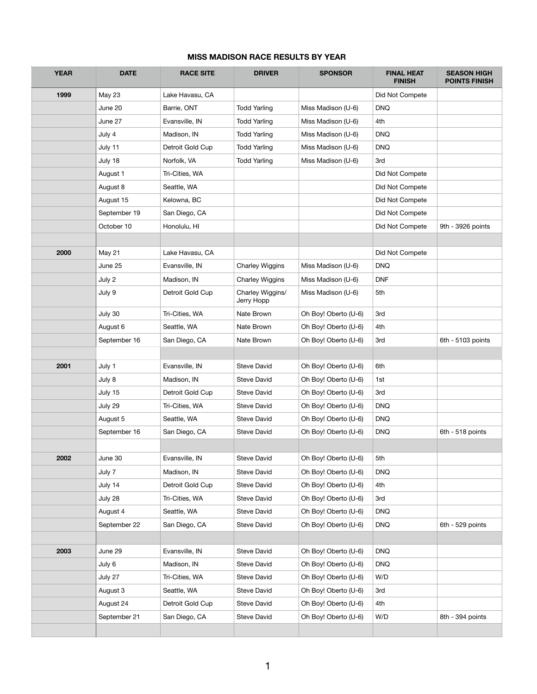## **MISS MADISON RACE RESULTS BY YEAR**

| <b>YEAR</b> | <b>DATE</b>   | <b>RACE SITE</b> | <b>DRIVER</b>                  | <b>SPONSOR</b>       | <b>FINAL HEAT</b><br><b>FINISH</b> | <b>SEASON HIGH</b><br><b>POINTS FINISH</b> |
|-------------|---------------|------------------|--------------------------------|----------------------|------------------------------------|--------------------------------------------|
| 1999        | <b>May 23</b> | Lake Havasu, CA  |                                |                      | Did Not Compete                    |                                            |
|             | June 20       | Barrie, ONT      | <b>Todd Yarling</b>            | Miss Madison (U-6)   | <b>DNQ</b>                         |                                            |
|             | June 27       | Evansville, IN   | <b>Todd Yarling</b>            | Miss Madison (U-6)   | 4th                                |                                            |
|             | July 4        | Madison, IN      | <b>Todd Yarling</b>            | Miss Madison (U-6)   | <b>DNQ</b>                         |                                            |
|             | July 11       | Detroit Gold Cup | <b>Todd Yarling</b>            | Miss Madison (U-6)   | <b>DNQ</b>                         |                                            |
|             | July 18       | Norfolk, VA      | <b>Todd Yarling</b>            | Miss Madison (U-6)   | 3rd                                |                                            |
|             | August 1      | Tri-Cities, WA   |                                |                      | Did Not Compete                    |                                            |
|             | August 8      | Seattle, WA      |                                |                      | Did Not Compete                    |                                            |
|             | August 15     | Kelowna, BC      |                                |                      | Did Not Compete                    |                                            |
|             | September 19  | San Diego, CA    |                                |                      | Did Not Compete                    |                                            |
|             | October 10    | Honolulu, HI     |                                |                      | Did Not Compete                    | 9th - 3926 points                          |
|             |               |                  |                                |                      |                                    |                                            |
| 2000        | May 21        | Lake Havasu, CA  |                                |                      | Did Not Compete                    |                                            |
|             | June 25       | Evansville, IN   | <b>Charley Wiggins</b>         | Miss Madison (U-6)   | <b>DNQ</b>                         |                                            |
|             | July 2        | Madison, IN      | <b>Charley Wiggins</b>         | Miss Madison (U-6)   | <b>DNF</b>                         |                                            |
|             | July 9        | Detroit Gold Cup | Charley Wiggins/<br>Jerry Hopp | Miss Madison (U-6)   | 5th                                |                                            |
|             | July 30       | Tri-Cities, WA   | Nate Brown                     | Oh Boy! Oberto (U-6) | 3rd                                |                                            |
|             | August 6      | Seattle, WA      | Nate Brown                     | Oh Boy! Oberto (U-6) | 4th                                |                                            |
|             | September 16  | San Diego, CA    | Nate Brown                     | Oh Boy! Oberto (U-6) | 3rd                                | 6th - 5103 points                          |
| 2001        | July 1        | Evansville, IN   | <b>Steve David</b>             | Oh Boy! Oberto (U-6) | 6th                                |                                            |
|             | July 8        | Madison, IN      | Steve David                    | Oh Boy! Oberto (U-6) | 1st                                |                                            |
|             | July 15       | Detroit Gold Cup | Steve David                    | Oh Boy! Oberto (U-6) | 3rd                                |                                            |
|             | July 29       | Tri-Cities, WA   | Steve David                    | Oh Boy! Oberto (U-6) | <b>DNQ</b>                         |                                            |
|             | August 5      | Seattle, WA      | Steve David                    | Oh Boy! Oberto (U-6) | <b>DNQ</b>                         |                                            |
|             | September 16  | San Diego, CA    | <b>Steve David</b>             | Oh Boy! Oberto (U-6) | <b>DNQ</b>                         | 6th - 518 points                           |
|             |               |                  |                                |                      |                                    |                                            |
| 2002        | June 30       | Evansville, IN   | <b>Steve David</b>             | Oh Boy! Oberto (U-6) | 5th                                |                                            |
|             | July 7        | Madison, IN      | Steve David                    | Oh Boy! Oberto (U-6) | <b>DNQ</b>                         |                                            |
|             | July 14       | Detroit Gold Cup | <b>Steve David</b>             | Oh Boy! Oberto (U-6) | 4th                                |                                            |
|             | July 28       | Tri-Cities, WA   | Steve David                    | Oh Boy! Oberto (U-6) | 3rd                                |                                            |
|             | August 4      | Seattle, WA      | Steve David                    | Oh Boy! Oberto (U-6) | <b>DNQ</b>                         |                                            |
|             | September 22  | San Diego, CA    | Steve David                    | Oh Boy! Oberto (U-6) | <b>DNQ</b>                         | 6th - 529 points                           |
|             |               |                  |                                |                      |                                    |                                            |
| 2003        | June 29       | Evansville, IN   | <b>Steve David</b>             | Oh Boy! Oberto (U-6) | <b>DNQ</b>                         |                                            |
|             | July 6        | Madison, IN      | <b>Steve David</b>             | Oh Boy! Oberto (U-6) | <b>DNQ</b>                         |                                            |
|             | July 27       | Tri-Cities, WA   | Steve David                    | Oh Boy! Oberto (U-6) | W/D                                |                                            |
|             | August 3      | Seattle, WA      | Steve David                    | Oh Boy! Oberto (U-6) | 3rd                                |                                            |
|             | August 24     | Detroit Gold Cup | Steve David                    | Oh Boy! Oberto (U-6) | 4th                                |                                            |
|             | September 21  | San Diego, CA    | Steve David                    | Oh Boy! Oberto (U-6) | W/D                                | 8th - 394 points                           |
|             |               |                  |                                |                      |                                    |                                            |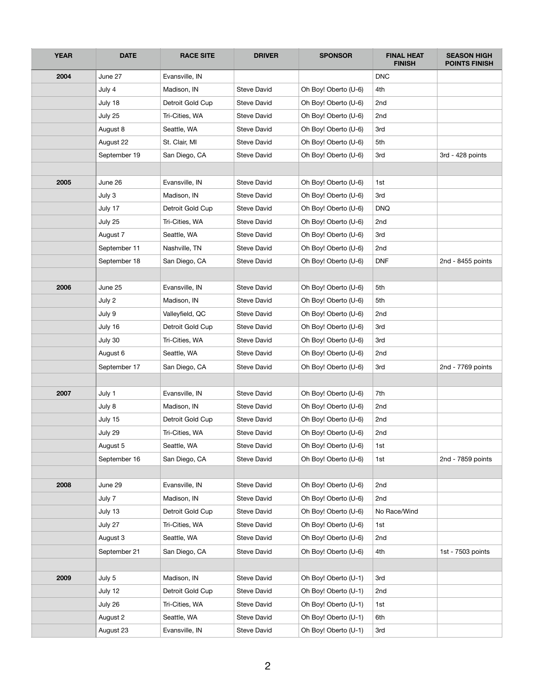| <b>YEAR</b> | <b>DATE</b>  | <b>RACE SITE</b> | <b>DRIVER</b>      | <b>SPONSOR</b>       | <b>FINAL HEAT</b><br><b>FINISH</b> | <b>SEASON HIGH</b><br><b>POINTS FINISH</b> |
|-------------|--------------|------------------|--------------------|----------------------|------------------------------------|--------------------------------------------|
| 2004        | June 27      | Evansville, IN   |                    |                      | <b>DNC</b>                         |                                            |
|             | July 4       | Madison, IN      | <b>Steve David</b> | Oh Boy! Oberto (U-6) | 4th                                |                                            |
|             | July 18      | Detroit Gold Cup | <b>Steve David</b> | Oh Boy! Oberto (U-6) | 2nd                                |                                            |
|             | July 25      | Tri-Cities, WA   | Steve David        | Oh Boy! Oberto (U-6) | 2nd                                |                                            |
|             | August 8     | Seattle, WA      | <b>Steve David</b> | Oh Boy! Oberto (U-6) | 3rd                                |                                            |
|             | August 22    | St. Clair, MI    | <b>Steve David</b> | Oh Boy! Oberto (U-6) | 5th                                |                                            |
|             | September 19 | San Diego, CA    | <b>Steve David</b> | Oh Boy! Oberto (U-6) | 3rd                                | 3rd - 428 points                           |
|             |              |                  |                    |                      |                                    |                                            |
| 2005        | June 26      | Evansville, IN   | <b>Steve David</b> | Oh Boy! Oberto (U-6) | 1st                                |                                            |
|             | July 3       | Madison, IN      | <b>Steve David</b> | Oh Boy! Oberto (U-6) | 3rd                                |                                            |
|             | July 17      | Detroit Gold Cup | <b>Steve David</b> | Oh Boy! Oberto (U-6) | <b>DNQ</b>                         |                                            |
|             | July 25      | Tri-Cities, WA   | <b>Steve David</b> | Oh Boy! Oberto (U-6) | 2nd                                |                                            |
|             | August 7     | Seattle, WA      | <b>Steve David</b> | Oh Boy! Oberto (U-6) | 3rd                                |                                            |
|             | September 11 | Nashville, TN    | Steve David        | Oh Boy! Oberto (U-6) | 2nd                                |                                            |
|             | September 18 | San Diego, CA    | Steve David        | Oh Boy! Oberto (U-6) | <b>DNF</b>                         | 2nd - 8455 points                          |
|             |              |                  |                    |                      |                                    |                                            |
| 2006        | June 25      | Evansville, IN   | <b>Steve David</b> | Oh Boy! Oberto (U-6) | 5th                                |                                            |
|             | July 2       | Madison, IN      | <b>Steve David</b> | Oh Boy! Oberto (U-6) | 5th                                |                                            |
|             | July 9       | Valleyfield, QC  | Steve David        | Oh Boy! Oberto (U-6) | 2nd                                |                                            |
|             | July 16      | Detroit Gold Cup | <b>Steve David</b> | Oh Boy! Oberto (U-6) | 3rd                                |                                            |
|             | July 30      | Tri-Cities, WA   | <b>Steve David</b> | Oh Boy! Oberto (U-6) | 3rd                                |                                            |
|             | August 6     | Seattle, WA      | <b>Steve David</b> | Oh Boy! Oberto (U-6) | 2nd                                |                                            |
|             | September 17 | San Diego, CA    | Steve David        | Oh Boy! Oberto (U-6) | 3rd                                | 2nd - 7769 points                          |
|             |              |                  |                    |                      |                                    |                                            |
| 2007        | July 1       | Evansville, IN   | Steve David        | Oh Boy! Oberto (U-6) | 7th                                |                                            |
|             | July 8       | Madison, IN      | <b>Steve David</b> | Oh Boy! Oberto (U-6) | 2nd                                |                                            |
|             | July 15      | Detroit Gold Cup | Steve David        | Oh Boy! Oberto (U-6) | 2nd                                |                                            |
|             | July 29      | Tri-Cities, WA   | Steve David        | Oh Boy! Oberto (U-6) | 2nd                                |                                            |
|             | August 5     | Seattle, WA      | Steve David        | Oh Boy! Oberto (U-6) | 1st                                |                                            |
|             | September 16 | San Diego, CA    | Steve David        | Oh Boy! Oberto (U-6) | 1st                                | 2nd - 7859 points                          |
|             |              |                  |                    |                      |                                    |                                            |
| 2008        | June 29      | Evansville, IN   | Steve David        | Oh Boy! Oberto (U-6) | 2nd                                |                                            |
|             | July 7       | Madison, IN      | Steve David        | Oh Boy! Oberto (U-6) | 2nd                                |                                            |
|             | July 13      | Detroit Gold Cup | Steve David        | Oh Boy! Oberto (U-6) | No Race/Wind                       |                                            |
|             | July 27      | Tri-Cities, WA   | Steve David        | Oh Boy! Oberto (U-6) | 1st                                |                                            |
|             | August 3     | Seattle, WA      | Steve David        | Oh Boy! Oberto (U-6) | 2nd                                |                                            |
|             | September 21 | San Diego, CA    | Steve David        | Oh Boy! Oberto (U-6) | 4th                                | 1st - 7503 points                          |
|             |              |                  |                    |                      |                                    |                                            |
| 2009        | July 5       | Madison, IN      | Steve David        | Oh Boy! Oberto (U-1) | 3rd                                |                                            |
|             | July 12      | Detroit Gold Cup | Steve David        | Oh Boy! Oberto (U-1) | 2nd                                |                                            |
|             | July 26      | Tri-Cities, WA   | Steve David        | Oh Boy! Oberto (U-1) | 1st                                |                                            |
|             | August 2     | Seattle, WA      | Steve David        | Oh Boy! Oberto (U-1) | 6th                                |                                            |
|             | August 23    | Evansville, IN   | Steve David        | Oh Boy! Oberto (U-1) | 3rd                                |                                            |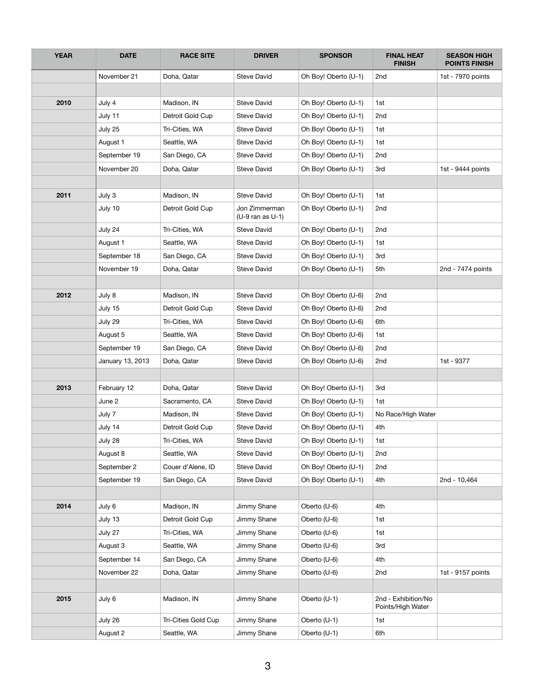| <b>YEAR</b> | <b>DATE</b>      | <b>RACE SITE</b>    | <b>DRIVER</b>                         | <b>SPONSOR</b>       | <b>FINAL HEAT</b><br><b>FINISH</b>       | <b>SEASON HIGH</b><br><b>POINTS FINISH</b> |
|-------------|------------------|---------------------|---------------------------------------|----------------------|------------------------------------------|--------------------------------------------|
|             | November 21      | Doha, Qatar         | <b>Steve David</b>                    | Oh Boy! Oberto (U-1) | 2nd                                      | 1st - 7970 points                          |
|             |                  |                     |                                       |                      |                                          |                                            |
| 2010        | July 4           | Madison, IN         | <b>Steve David</b>                    | Oh Boy! Oberto (U-1) | 1st                                      |                                            |
|             | July 11          | Detroit Gold Cup    | <b>Steve David</b>                    | Oh Boy! Oberto (U-1) | 2nd                                      |                                            |
|             | July 25          | Tri-Cities, WA      | <b>Steve David</b>                    | Oh Boy! Oberto (U-1) | 1st                                      |                                            |
|             | August 1         | Seattle, WA         | <b>Steve David</b>                    | Oh Boy! Oberto (U-1) | 1st                                      |                                            |
|             | September 19     | San Diego, CA       | <b>Steve David</b>                    | Oh Boy! Oberto (U-1) | 2nd                                      |                                            |
|             | November 20      | Doha, Qatar         | <b>Steve David</b>                    | Oh Boy! Oberto (U-1) | 3rd                                      | 1st - 9444 points                          |
|             |                  |                     |                                       |                      |                                          |                                            |
| 2011        | July 3           | Madison, IN         | <b>Steve David</b>                    | Oh Boy! Oberto (U-1) | 1st                                      |                                            |
|             | July 10          | Detroit Gold Cup    | Jon Zimmerman<br>$(U-9$ ran as $U-1)$ | Oh Boy! Oberto (U-1) | 2nd                                      |                                            |
|             | July 24          | Tri-Cities, WA      | <b>Steve David</b>                    | Oh Boy! Oberto (U-1) | 2nd                                      |                                            |
|             | August 1         | Seattle, WA         | <b>Steve David</b>                    | Oh Boy! Oberto (U-1) | 1st                                      |                                            |
|             | September 18     | San Diego, CA       | <b>Steve David</b>                    | Oh Boy! Oberto (U-1) | 3rd                                      |                                            |
|             | November 19      | Doha, Qatar         | <b>Steve David</b>                    | Oh Boy! Oberto (U-1) | 5th                                      | 2nd - 7474 points                          |
|             |                  |                     |                                       |                      |                                          |                                            |
| 2012        | July 8           | Madison, IN         | <b>Steve David</b>                    | Oh Boy! Oberto (U-6) | 2nd                                      |                                            |
|             | July 15          | Detroit Gold Cup    | <b>Steve David</b>                    | Oh Boy! Oberto (U-6) | 2nd                                      |                                            |
|             | July 29          | Tri-Cities, WA      | <b>Steve David</b>                    | Oh Boy! Oberto (U-6) | 6th                                      |                                            |
|             | August 5         | Seattle, WA         | <b>Steve David</b>                    | Oh Boy! Oberto (U-6) | 1st                                      |                                            |
|             | September 19     | San Diego, CA       | <b>Steve David</b>                    | Oh Boy! Oberto (U-6) | 2nd                                      |                                            |
|             | January 13, 2013 | Doha, Qatar         | <b>Steve David</b>                    | Oh Boy! Oberto (U-6) | 2nd                                      | 1st - 9377                                 |
|             |                  |                     |                                       |                      |                                          |                                            |
| 2013        | February 12      | Doha, Qatar         | <b>Steve David</b>                    | Oh Boy! Oberto (U-1) | 3rd                                      |                                            |
|             | June 2           | Sacramento, CA      | <b>Steve David</b>                    | Oh Boy! Oberto (U-1) | 1st                                      |                                            |
|             | July 7           | Madison, IN         | <b>Steve David</b>                    | Oh Boy! Oberto (U-1) | No Race/High Water                       |                                            |
|             | July 14          | Detroit Gold Cup    | <b>Steve David</b>                    | Oh Boy! Oberto (U-1) | 4th                                      |                                            |
|             | July 28          | Tri-Cities, WA      | <b>Steve David</b>                    | Oh Boy! Oberto (U-1) | 1st                                      |                                            |
|             | August 8         | Seattle, WA         | <b>Steve David</b>                    | Oh Boy! Oberto (U-1) | 2nd                                      |                                            |
|             | September 2      | Couer d'Alene, ID   | Steve David                           | Oh Boy! Oberto (U-1) | 2nd                                      |                                            |
|             | September 19     | San Diego, CA       | Steve David                           | Oh Boy! Oberto (U-1) | 4th                                      | 2nd - 10,464                               |
|             |                  |                     |                                       |                      |                                          |                                            |
| 2014        | July 6           | Madison, IN         | Jimmy Shane                           | Oberto (U-6)         | 4th                                      |                                            |
|             | July 13          | Detroit Gold Cup    | Jimmy Shane                           | Oberto (U-6)         | 1st                                      |                                            |
|             | July 27          | Tri-Cities, WA      | Jimmy Shane                           | Oberto (U-6)         | 1st                                      |                                            |
|             | August 3         | Seattle, WA         | Jimmy Shane                           | Oberto (U-6)         | 3rd                                      |                                            |
|             | September 14     | San Diego, CA       | Jimmy Shane                           | Oberto (U-6)         | 4th                                      |                                            |
|             | November 22      | Doha, Qatar         | Jimmy Shane                           | Oberto (U-6)         | 2nd                                      | 1st - 9157 points                          |
|             |                  |                     |                                       |                      |                                          |                                            |
| 2015        | July 6           | Madison, IN         | Jimmy Shane                           | Oberto (U-1)         | 2nd - Exhibition/No<br>Points/High Water |                                            |
|             | July 26          | Tri-Cities Gold Cup | Jimmy Shane                           | Oberto (U-1)         | 1st                                      |                                            |
|             | August 2         | Seattle, WA         | Jimmy Shane                           | Oberto (U-1)         | 6th                                      |                                            |